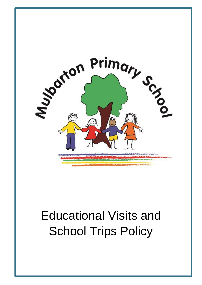

# Educational Visits and **School Trips Policy**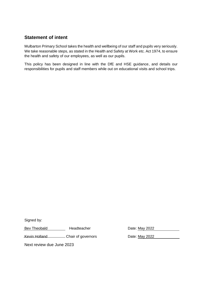# **Statement of intent**

Mulbarton Primary School takes the health and wellbeing of our staff and pupils very seriously. We take reasonable steps, as stated in the Health and Safety at Work etc. Act 1974, to ensure the health and safety of our employees, as well as our pupils.

This policy has been designed in line with the DfE and HSE guidance, and details our responsibilities for pupils and staff members while out on educational visits and school trips.

Signed by:

Bev Theobald **Headteacher** Headteacher **Date: May 2022** 

Kevin Holland Chair of governors Date: May 2022

Next review due June 2023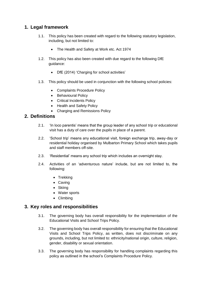# **1. Legal framework**

- 1.1. This policy has been created with regard to the following statutory legislation, including, but not limited to:
	- The Health and Safety at Work etc. Act 1974
- 1.2. This policy has also been created with due regard to the following DfE guidance:
	- DfE (2014) 'Charging for school activities'
- 1.3. This policy should be used in conjunction with the following school policies:
	- Complaints Procedure Policy
	- Behavioural Policy
	- Critical Incidents Policy
	- Health and Safety Policy
	- Charging and Remissions Policy

#### **2. Definitions**

- 2.1. 'In loco parentis' means that the group leader of any school trip or educational visit has a duty of care over the pupils in place of a parent.
- 2.2. 'School trip' means any educational visit, foreign exchange trip, away-day or residential holiday organised by Mulbarton Primary School which takes pupils and staff members off-site.
- 2.3. 'Residential' means any school trip which includes an overnight stay.
- 2.4. Activities of an 'adventurous nature' include, but are not limited to, the following:
	- Trekking
	- Caving
	- Skiing
	- Water sports
	- Climbing

#### **3. Key roles and responsibilities**

- 3.1. The governing body has overall responsibility for the implementation of the Educational Visits and School Trips Policy.
- 3.2. The governing body has overall responsibility for ensuring that the Educational Visits and School Trips Policy, as written, does not discriminate on any grounds, including, but not limited to: ethnicity/national origin, culture, religion, gender, disability or sexual orientation.
- 3.3. The governing body has responsibility for handling complaints regarding this policy as outlined in the school's Complaints Procedure Policy.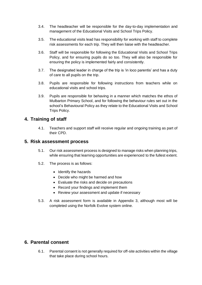- 3.4. The headteacher will be responsible for the day-to-day implementation and management of the Educational Visits and School Trips Policy.
- 3.5. The educational visits lead has responsibility for working with staff to complete risk assessments for each trip. They will then liaise with the headteacher.
- 3.6. Staff will be responsible for following the Educational Visits and School Trips Policy, and for ensuring pupils do so too. They will also be responsible for ensuring the policy is implemented fairly and consistently.
- 3.7. The designated leader in charge of the trip is 'in loco parentis' and has a duty of care to all pupils on the trip.
- 3.8. Pupils are responsible for following instructions from teachers while on educational visits and school trips.
- 3.9. Pupils are responsible for behaving in a manner which matches the ethos of Mulbarton Primary School, and for following the behaviour rules set out in the school's Behavioural Policy as they relate to the Educational Visits and School Trips Policy.

# **4. Training of staff**

4.1. Teachers and support staff will receive regular and ongoing training as part of their CPD.

#### <span id="page-3-0"></span>**5. Risk assessment process**

- 5.1. Our risk assessment process is designed to manage risks when planning trips, while ensuring that learning opportunities are experienced to the fullest extent.
- 5.2. The process is as follows:
	- Identify the hazards
	- Decide who might be harmed and how
	- Evaluate the risks and decide on precautions
	- Record your findings and implement them
	- Review your assessment and update if necessary
- 5.3. A risk assessment form is available in Appendix 3, although most will be completed using the Norfolk Evolve system online.

# **6. Parental consent**

6.1. Parental consent is not generally required for off-site activities within the village that take place during school hours.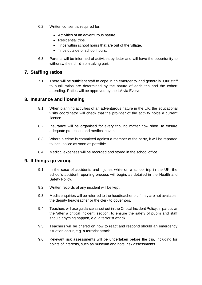- 6.2. Written consent is required for:
	- Activities of an adventurous nature.
	- Residential trips.
	- Trips within school hours that are out of the village.
	- Trips outside of school hours.
- 6.3. Parents will be informed of activities by letter and will have the opportunity to withdraw their child from taking part.

# **7. Staffing ratios**

7.1. There will be sufficient staff to cope in an emergency and generally. Our staff to pupil ratios are determined by the nature of each trip and the cohort attending. Ratios will be approved by the LA via Evolve.

# **8. Insurance and licensing**

- 8.1. When planning activities of an adventurous nature in the UK, the educational visits coordinator will check that the provider of the activity holds a current licence.
- 8.2. Insurance will be organised for every trip, no matter how short, to ensure adequate protection and medical cover.
- 8.3. Where a crime is committed against a member of the party, it will be reported to local police as soon as possible.
- 8.4. Medical expenses will be recorded and stored in the school office.

#### **9. If things go wrong**

- 9.1. In the case of accidents and injuries while on a school trip in the UK, the school's accident reporting process will begin, as detailed in the Health and Safety Policy.
- 9.2. Written records of any incident will be kept.
- 9.3. Media enquiries will be referred to the headteacher or, if they are not available, the deputy headteacher or the clerk to governors.
- 9.4. Teachers will use guidance as set out in the Critical Incident Policy, in particular the 'after a critical incident' section, to ensure the safety of pupils and staff should anything happen, e.g. a terrorist attack.
- 9.5. Teachers will be briefed on how to react and respond should an emergency situation occur, e.g. a terrorist attack.
- 9.6. Relevant risk assessments will be undertaken before the trip, including for points of interests, such as museum and hotel risk assessments.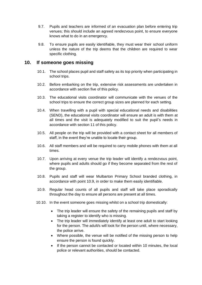- 9.7. Pupils and teachers are informed of an evacuation plan before entering trip venues; this should include an agreed rendezvous point, to ensure everyone knows what to do in an emergency.
- <span id="page-5-0"></span>9.8. To ensure pupils are easily identifiable, they must wear their school uniform unless the nature of the trip deems that the children are required to wear specific clothing.

#### **10. If someone goes missing**

- 10.1. The school places pupil and staff safety as its top priority when participating in school trips.
- 10.2. Before embarking on the trip, extensive risk assessments are undertaken in accordance with [section five](#page-3-0) of this policy.
- 10.3. The educational visits coordinator will communicate with the venues of the school trips to ensure the correct group sizes are planned for each setting.
- 10.4. When travelling with a pupil with special educational needs and disabilities (SEND), the educational visits coordinator will ensure an adult is with them at all times and the visit is adequately modified to suit the pupil's needs in accordance with [section 11](#page-6-0) of this policy.
- 10.5. All people on the trip will be provided with a contact sheet for all members of staff, in the event they're unable to locate their group.
- 10.6. All staff members and will be required to carry mobile phones with them at all times.
- 10.7. Upon arriving at every venue the trip leader will identify a rendezvous point, where pupils and adults should go if they become separated from the rest of the group.
- 10.8. Pupils and staff will wear Mulbarton Primary School branded clothing, in accordance with point [10.9,](#page-5-0) in order to make them easily identifiable.
- 10.9. Regular head counts of all pupils and staff will take place sporadically throughout the day to ensure all persons are present at all times.
- 10.10. In the event someone goes missing whilst on a school trip domestically:
	- The trip leader will ensure the safety of the remaining pupils and staff by taking a register to identify who is missing.
	- The trip leader will immediately identify at least one adult to start looking for the person. The adult/s will look for the person until, where necessary, the police arrive.
	- Where possible, the venue will be notified of the missing person to help ensure the person is found quickly.
	- If the person cannot be contacted or located within 10 minutes, the local police or relevant authorities, should be contacted.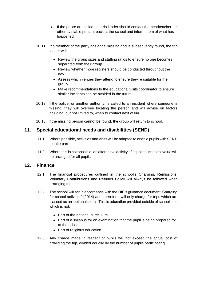- If the police are called, the trip leader should contact the headteacher, or other available person, back at the school and inform them of what has happened.
- 10.11. If a member of the party has gone missing and is subsequently found, the trip leader will:
	- Review the group sizes and staffing ratios to ensure no one becomes separated from their group.
	- Review whether more registers should be conducted throughout the day.
	- Assess which venues they attend to ensure they're suitable for the group.
	- Make recommendations to the educational visits coordinator to ensure similar incidents can be avoided in the future.
- 10.12. If the police, or another authority, is called to an incident where someone is missing, they will oversee locating the person and will advise on factors including, but not limited to, when to contact next of kin.
- 10.13. If the missing person cannot be found, the group will return to school.

# <span id="page-6-0"></span>**11. Special educational needs and disabilities (SEND)**

- 11.1. Where possible, activities and visits will be adapted to enable pupils with SEND to take part.
- 11.2. Where this is not possible, an alternative activity of equal educational value will be arranged for all pupils.

#### **12. Finance**

- 12.1. The financial procedures outlined in the school's Charging, Remissions, Voluntary Contributions and Refunds Policy will always be followed when arranging trips.
- 12.2. The school will act in accordance with the DfE's guidance document 'Charging for school activities' (2014) and, therefore, will only charge for trips which are classed as an 'optional extra'. This is education provided outside of school time which is not:
	- Part of the national curriculum.
	- Part of a syllabus for an examination that the pupil is being prepared for at the school.
	- Part of religious education.
- 12.3. Any charge made in respect of pupils will not exceed the actual cost of providing the trip, divided equally by the number of pupils participating.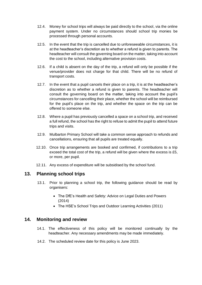- 12.4. Money for school trips will always be paid directly to the school, via the online payment system. Under no circumstances should school trip monies be processed through personal accounts.
- 12.5. In the event that the trip is cancelled due to unforeseeable circumstances, it is at the headteacher's discretion as to whether a refund is given to parents. The headteacher will consult the governing board on the matter, taking into account the cost to the school, including alternative provision costs.
- 12.6. If a child is absent on the day of the trip, a refund will only be possible if the venue/provider does not charge for that child. There will be no refund of transport costs.
- 12.7. In the event that a pupil cancels their place on a trip, it is at the headteacher's discretion as to whether a refund is given to parents. The headteacher will consult the governing board on the matter, taking into account the pupil's circumstances for cancelling their place, whether the school will be reimbursed for the pupil's place on the trip, and whether the space on the trip can be offered to someone else.
- 12.8. Where a pupil has previously cancelled a space on a school trip, and received a full refund, the school has the right to refuse to admit the pupil to attend future trips and visits.
- 12.9. Mulbarton Primary School will take a common sense approach to refunds and cancellations, ensuring that all pupils are treated equally.
- 12.10. Once trip arrangements are booked and confirmed, if contributions to a trip exceed the total cost of the trip, a refund will be given where the excess is £5, or more, per pupil.
- 12.11. Any excess of expenditure will be subsidised by the school fund.

# **13. Planning school trips**

- 13.1. Prior to planning a school trip, the following guidance should be read by organisers:
	- The DfE's [Health and Safety: Advice on Legal Duties and Powers](https://www.gov.uk/government/publications/health-and-safety-advice-for-schools) (2014)
	- The HSE's [School Trips and Outdoor Learning Activities](http://www.hse.gov.uk/services/education/school-trips.pdf) (2011)

#### **14. Monitoring and review**

- 14.1. The effectiveness of this policy will be monitored continually by the headteacher. Any necessary amendments may be made immediately.
- 14.2. The scheduled review date for this policy is June 2023.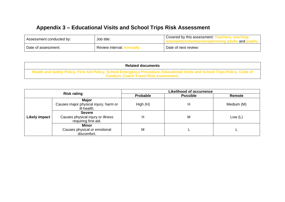# **Appendix 3 – Educational Visits and School Trips Risk Assessment**

| Assessment conducted by: | Job title:       | Covered by this assessment:<br>and |  |  |  |
|--------------------------|------------------|------------------------------------|--|--|--|
| Date of assessment:      | Review interval: | Date of next review:               |  |  |  |

| <b>Related documents</b>                                                                                                                                                     |  |
|------------------------------------------------------------------------------------------------------------------------------------------------------------------------------|--|
| Health and Safety Policy, First Aid Policy, School Emergency Procedure, Educational Visits and School Trips Policy, Code of<br><b>Conduct, Coach Travel Risk Assessment.</b> |  |

| <b>Risk rating</b>   |                                                                            | <b>Likelihood of occurrence</b> |                 |            |  |  |
|----------------------|----------------------------------------------------------------------------|---------------------------------|-----------------|------------|--|--|
|                      |                                                                            | Probable                        | <b>Possible</b> | Remote     |  |  |
| <b>Likely impact</b> | <b>Major</b><br>Causes major physical injury, harm or<br>ill-health.       | High(H)                         | Н               | Medium (M) |  |  |
|                      | <b>Severe</b><br>Causes physical injury or illness<br>requiring first aid. | Н                               | M               | Low $(L)$  |  |  |
|                      | Minor<br>Causes physical or emotional<br>discomfort.                       | M                               |                 |            |  |  |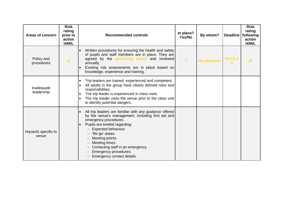| Areas of concern             | <b>Risk</b><br>rating<br>prior to<br>action<br>H/M/L | <b>Recommended controls</b>                                                                                                                                                                                                                                                                                                                       | In place?<br>Yes/No | By whom?           | <b>Deadline</b> | <b>Risk</b><br>rating<br>following<br>action<br>H/M/L |
|------------------------------|------------------------------------------------------|---------------------------------------------------------------------------------------------------------------------------------------------------------------------------------------------------------------------------------------------------------------------------------------------------------------------------------------------------|---------------------|--------------------|-----------------|-------------------------------------------------------|
| Policy and<br>procedures     | н                                                    | Written procedures for ensuring the health and safety<br>of pupils and staff members are in place. They are<br>agreed by the governing board and reviewed<br>annually.<br>Existing risk assessments are in place based on<br>knowledge, experience and training.                                                                                  | Ÿ                   | <b>Headteacher</b> | XX.XX.X<br>x    | M                                                     |
| Inadequate<br>leadership     |                                                      | Trip leaders are trained, experienced and competent.<br>All adults in the group have clearly defined roles and<br>responsibilities.<br>The trip leader is experienced in class visits.<br>$\bullet$<br>The trip leader visits the venue prior to the class visit<br>to identify potential dangers.                                                |                     |                    |                 |                                                       |
| Hazards specific to<br>venue |                                                      | All trip leaders are familiar with any guidance offered<br>by the venue's management, including first aid and<br>emergency procedures.<br>Pupils are briefed regarding:<br>Expected behaviour.<br>'No-go' areas.<br>Meeting points.<br>Meeting times.<br>Contacting staff in an emergency.<br>Emergency procedures.<br>Emergency contact details. |                     |                    |                 |                                                       |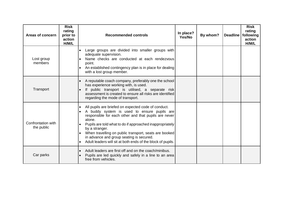| Areas of concern                 | <b>Risk</b><br>rating<br>prior to<br>action<br>H/M/L | <b>Recommended controls</b>                                                                                                                                                                                                                                                                                                                                                                                            | In place?<br>Yes/No | By whom? | <b>Deadline</b> | <b>Risk</b><br>rating<br>following<br>action<br>H/M/L |
|----------------------------------|------------------------------------------------------|------------------------------------------------------------------------------------------------------------------------------------------------------------------------------------------------------------------------------------------------------------------------------------------------------------------------------------------------------------------------------------------------------------------------|---------------------|----------|-----------------|-------------------------------------------------------|
| Lost group<br>members            |                                                      | Large groups are divided into smaller groups with<br>adequate supervision.<br>Name checks are conducted at each rendezvous<br>point.<br>An established contingency plan is in place for dealing<br>with a lost group member.                                                                                                                                                                                           |                     |          |                 |                                                       |
| Transport                        |                                                      | A reputable coach company, preferably one the school<br>has experience working with, is used.<br>If public transport is utilised, a separate risk<br>assessment is created to ensure all risks are identified<br>regarding the mode of transport.                                                                                                                                                                      |                     |          |                 |                                                       |
| Confrontation with<br>the public |                                                      | All pupils are briefed on expected code of conduct.<br>A buddy system is used to ensure pupils are<br>responsible for each other and that pupils are never<br>alone.<br>Pupils are told what to do if approached inappropriately<br>by a stranger.<br>When travelling on public transport, seats are booked<br>in advance and group seating is secured.<br>Adult leaders will sit at both ends of the block of pupils. |                     |          |                 |                                                       |
| Car parks                        |                                                      | Adult leaders are first off and on the coach/minibus.<br>Pupils are led quickly and safely in a line to an area<br>free from vehicles.                                                                                                                                                                                                                                                                                 |                     |          |                 |                                                       |